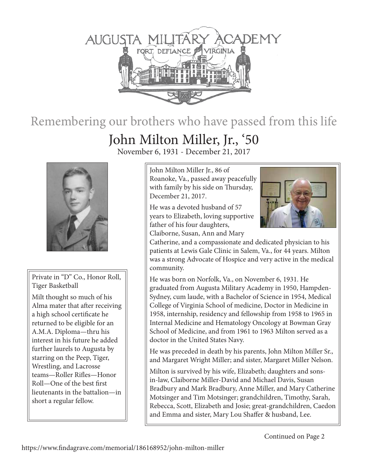

## Remembering our brothers who have passed from this life

## John Milton Miller, Jr., '50

November 6, 1931 - December 21, 2017



Private in "D" Co., Honor Roll, Tiger Basketball

Milt thought so much of his Alma mater that after receiving a high school certificate he returned to be eligible for an A.M.A. Diploma—thru his interest in his future he added further laurels to Augusta by starring on the Peep, Tiger, Wrestling, and Lacrosse teams—Roller Rifles—Honor Roll—One of the best first lieutenants in the battalion—in short a regular fellow.

John Milton Miller Jr., 86 of Roanoke, Va., passed away peacefully with family by his side on Thursday, December 21, 2017.

He was a devoted husband of 57 years to Elizabeth, loving supportive father of his four daughters, Claiborne, Susan, Ann and Mary



Catherine, and a compassionate and dedicated physician to his patients at Lewis Gale Clinic in Salem, Va., for 44 years. Milton was a strong Advocate of Hospice and very active in the medical community.

He was born on Norfolk, Va., on November 6, 1931. He graduated from Augusta Military Academy in 1950, Hampden-Sydney, cum laude, with a Bachelor of Science in 1954, Medical College of Virginia School of medicine, Doctor in Medicine in 1958, internship, residency and fellowship from 1958 to 1965 in Internal Medicine and Hematology Oncology at Bowman Gray School of Medicine, and from 1961 to 1963 Milton served as a doctor in the United States Navy.

He was preceded in death by his parents, John Milton Miller Sr., and Margaret Wright Miller; and sister, Margaret Miller Nelson.

Milton is survived by his wife, Elizabeth; daughters and sonsin-law, Claiborne Miller-David and Michael Davis, Susan Bradbury and Mark Bradbury, Anne Miller, and Mary Catherine Motsinger and Tim Motsinger; grandchildren, Timothy, Sarah, Rebecca, Scott, Elizabeth and Josie; great-grandchildren, Caedon and Emma and sister, Mary Lou Shaffer & husband, Lee.